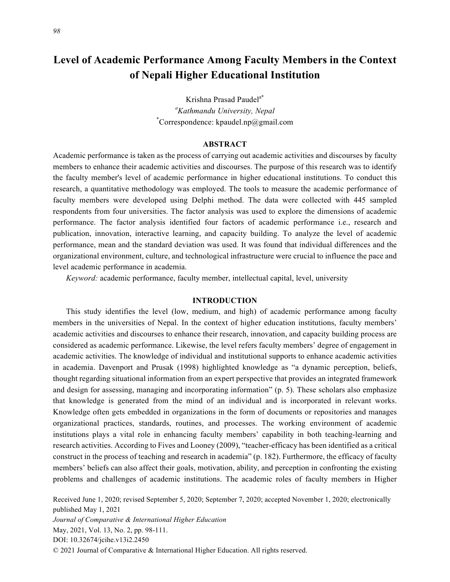# **Level of Academic Performance Among Faculty Members in the Context**

**of Nepali Higher Educational Institution**

Krishna Prasad Paudel<sup>a\*</sup> *a Kathmandu University, Nepal* \* Correspondence: kpaudel.np@gmail.com

#### **ABSTRACT**

Academic performance is taken as the process of carrying out academic activities and discourses by faculty members to enhance their academic activities and discourses. The purpose of this research was to identify the faculty member's level of academic performance in higher educational institutions. To conduct this research, a quantitative methodology was employed. The tools to measure the academic performance of faculty members were developed using Delphi method. The data were collected with 445 sampled respondents from four universities. The factor analysis was used to explore the dimensions of academic performance. The factor analysis identified four factors of academic performance i.e., research and publication, innovation, interactive learning, and capacity building. To analyze the level of academic performance, mean and the standard deviation was used. It was found that individual differences and the organizational environment, culture, and technological infrastructure were crucial to influence the pace and level academic performance in academia.

*Keyword:* academic performance, faculty member, intellectual capital, level, university

# **INTRODUCTION**

This study identifies the level (low, medium, and high) of academic performance among faculty members in the universities of Nepal. In the context of higher education institutions, faculty members' academic activities and discourses to enhance their research, innovation, and capacity building process are considered as academic performance. Likewise, the level refers faculty members' degree of engagement in academic activities. The knowledge of individual and institutional supports to enhance academic activities in academia. Davenport and Prusak (1998) highlighted knowledge as "a dynamic perception, beliefs, thought regarding situational information from an expert perspective that provides an integrated framework and design for assessing, managing and incorporating information" (p. 5). These scholars also emphasize that knowledge is generated from the mind of an individual and is incorporated in relevant works. Knowledge often gets embedded in organizations in the form of documents or repositories and manages organizational practices, standards, routines, and processes. The working environment of academic institutions plays a vital role in enhancing faculty members' capability in both teaching-learning and research activities. According to Fives and Looney (2009), "teacher-efficacy has been identified as a critical construct in the process of teaching and research in academia" (p. 182). Furthermore, the efficacy of faculty members' beliefs can also affect their goals, motivation, ability, and perception in confronting the existing problems and challenges of academic institutions. The academic roles of faculty members in Higher

Received June 1, 2020; revised September 5, 2020; September 7, 2020; accepted November 1, 2020; electronically published May 1, 2021 *Journal of Comparative & International Higher Education* May, 2021, Vol. 13, No. 2, pp. 98-111. DOI: 10.32674/jcihe.v13i2.2450 © 2021 Journal of Comparative & International Higher Education. All rights reserved.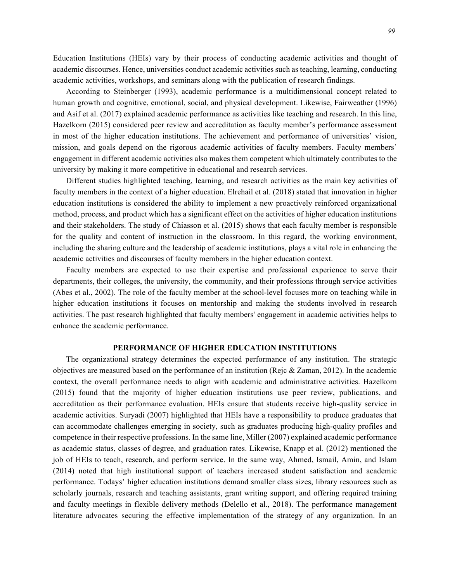Education Institutions (HEIs) vary by their process of conducting academic activities and thought of academic discourses. Hence, universities conduct academic activities such as teaching, learning, conducting academic activities, workshops, and seminars along with the publication of research findings.

According to Steinberger (1993), academic performance is a multidimensional concept related to human growth and cognitive, emotional, social, and physical development. Likewise, Fairweather (1996) and Asif et al. (2017) explained academic performance as activities like teaching and research. In this line, Hazelkorn (2015) considered peer review and accreditation as faculty member's performance assessment in most of the higher education institutions. The achievement and performance of universities' vision, mission, and goals depend on the rigorous academic activities of faculty members. Faculty members' engagement in different academic activities also makes them competent which ultimately contributes to the university by making it more competitive in educational and research services.

Different studies highlighted teaching, learning, and research activities as the main key activities of faculty members in the context of a higher education. Elrehail et al. (2018) stated that innovation in higher education institutions is considered the ability to implement a new proactively reinforced organizational method, process, and product which has a significant effect on the activities of higher education institutions and their stakeholders. The study of Chiasson et al. (2015) shows that each faculty member is responsible for the quality and content of instruction in the classroom. In this regard, the working environment, including the sharing culture and the leadership of academic institutions, plays a vital role in enhancing the academic activities and discourses of faculty members in the higher education context.

Faculty members are expected to use their expertise and professional experience to serve their departments, their colleges, the university, the community, and their professions through service activities (Abes et al., 2002). The role of the faculty member at the school-level focuses more on teaching while in higher education institutions it focuses on mentorship and making the students involved in research activities. The past research highlighted that faculty members' engagement in academic activities helps to enhance the academic performance.

# **PERFORMANCE OF HIGHER EDUCATION INSTITUTIONS**

The organizational strategy determines the expected performance of any institution. The strategic objectives are measured based on the performance of an institution (Rejc & Zaman, 2012). In the academic context, the overall performance needs to align with academic and administrative activities. Hazelkorn (2015) found that the majority of higher education institutions use peer review, publications, and accreditation as their performance evaluation. HEIs ensure that students receive high-quality service in academic activities. Suryadi (2007) highlighted that HEIs have a responsibility to produce graduates that can accommodate challenges emerging in society, such as graduates producing high-quality profiles and competence in their respective professions. In the same line, Miller (2007) explained academic performance as academic status, classes of degree, and graduation rates. Likewise, Knapp et al. (2012) mentioned the job of HEIs to teach, research, and perform service. In the same way, Ahmed, Ismail, Amin, and Islam (2014) noted that high institutional support of teachers increased student satisfaction and academic performance. Todays' higher education institutions demand smaller class sizes, library resources such as scholarly journals, research and teaching assistants, grant writing support, and offering required training and faculty meetings in flexible delivery methods (Delello et al., 2018). The performance management literature advocates securing the effective implementation of the strategy of any organization. In an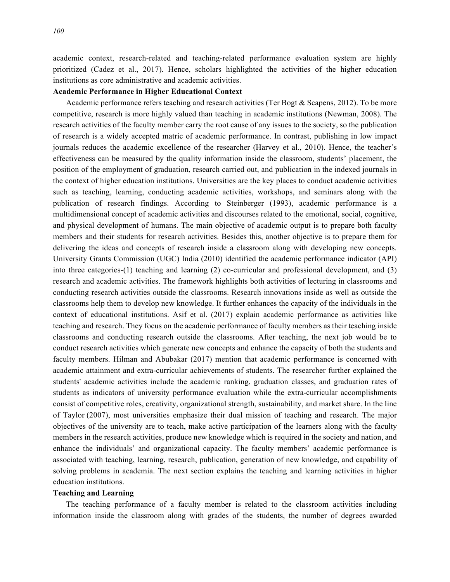academic context, research-related and teaching-related performance evaluation system are highly prioritized (Cadez et al., 2017). Hence, scholars highlighted the activities of the higher education institutions as core administrative and academic activities.

#### **Academic Performance in Higher Educational Context**

Academic performance refers teaching and research activities (Ter Bogt & Scapens, 2012). To be more competitive, research is more highly valued than teaching in academic institutions (Newman, 2008). The research activities of the faculty member carry the root cause of any issues to the society, so the publication of research is a widely accepted matric of academic performance. In contrast, publishing in low impact journals reduces the academic excellence of the researcher (Harvey et al., 2010). Hence, the teacher's effectiveness can be measured by the quality information inside the classroom, students' placement, the position of the employment of graduation, research carried out, and publication in the indexed journals in the context of higher education institutions. Universities are the key places to conduct academic activities such as teaching, learning, conducting academic activities, workshops, and seminars along with the publication of research findings. According to Steinberger (1993), academic performance is a multidimensional concept of academic activities and discourses related to the emotional, social, cognitive, and physical development of humans. The main objective of academic output is to prepare both faculty members and their students for research activities. Besides this, another objective is to prepare them for delivering the ideas and concepts of research inside a classroom along with developing new concepts. University Grants Commission (UGC) India (2010) identified the academic performance indicator (API) into three categories-(1) teaching and learning (2) co-curricular and professional development, and (3) research and academic activities. The framework highlights both activities of lecturing in classrooms and conducting research activities outside the classrooms. Research innovations inside as well as outside the classrooms help them to develop new knowledge. It further enhances the capacity of the individuals in the context of educational institutions. Asif et al. (2017) explain academic performance as activities like teaching and research. They focus on the academic performance of faculty members as their teaching inside classrooms and conducting research outside the classrooms. After teaching, the next job would be to conduct research activities which generate new concepts and enhance the capacity of both the students and faculty members. Hilman and Abubakar (2017) mention that academic performance is concerned with academic attainment and extra-curricular achievements of students. The researcher further explained the students' academic activities include the academic ranking, graduation classes, and graduation rates of students as indicators of university performance evaluation while the extra-curricular accomplishments consist of competitive roles, creativity, organizational strength, sustainability, and market share. In the line of Taylor (2007), most universities emphasize their dual mission of teaching and research. The major objectives of the university are to teach, make active participation of the learners along with the faculty members in the research activities, produce new knowledge which is required in the society and nation, and enhance the individuals' and organizational capacity. The faculty members' academic performance is associated with teaching, learning, research, publication, generation of new knowledge, and capability of solving problems in academia. The next section explains the teaching and learning activities in higher education institutions.

# **Teaching and Learning**

The teaching performance of a faculty member is related to the classroom activities including information inside the classroom along with grades of the students, the number of degrees awarded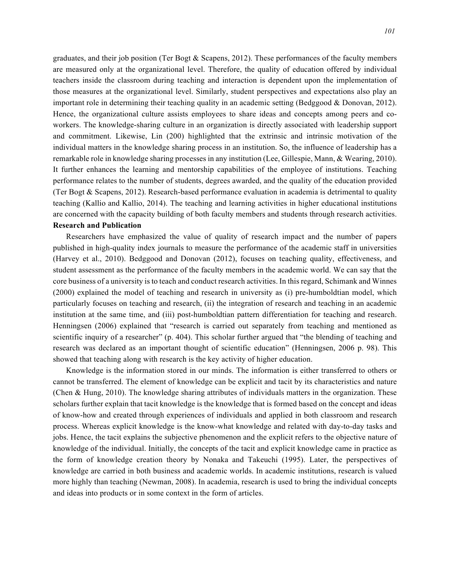graduates, and their job position (Ter Bogt & Scapens, 2012). These performances of the faculty members are measured only at the organizational level. Therefore, the quality of education offered by individual teachers inside the classroom during teaching and interaction is dependent upon the implementation of those measures at the organizational level. Similarly, student perspectives and expectations also play an important role in determining their teaching quality in an academic setting (Bedggood & Donovan, 2012). Hence, the organizational culture assists employees to share ideas and concepts among peers and coworkers. The knowledge-sharing culture in an organization is directly associated with leadership support and commitment. Likewise, Lin (200) highlighted that the extrinsic and intrinsic motivation of the individual matters in the knowledge sharing process in an institution. So, the influence of leadership has a remarkable role in knowledge sharing processes in any institution (Lee, Gillespie, Mann, & Wearing, 2010). It further enhances the learning and mentorship capabilities of the employee of institutions. Teaching performance relates to the number of students, degrees awarded, and the quality of the education provided (Ter Bogt & Scapens, 2012). Research-based performance evaluation in academia is detrimental to quality teaching (Kallio and Kallio, 2014). The teaching and learning activities in higher educational institutions are concerned with the capacity building of both faculty members and students through research activities.

# **Research and Publication**

Researchers have emphasized the value of quality of research impact and the number of papers published in high-quality index journals to measure the performance of the academic staff in universities (Harvey et al., 2010). Bedggood and Donovan (2012), focuses on teaching quality, effectiveness, and student assessment as the performance of the faculty members in the academic world. We can say that the core business of a university is to teach and conduct research activities. In this regard, Schimank and Winnes (2000) explained the model of teaching and research in university as (i) pre-humboldtian model, which particularly focuses on teaching and research, (ii) the integration of research and teaching in an academic institution at the same time, and (iii) post-humboldtian pattern differentiation for teaching and research. Henningsen (2006) explained that "research is carried out separately from teaching and mentioned as scientific inquiry of a researcher" (p. 404). This scholar further argued that "the blending of teaching and research was declared as an important thought of scientific education" (Henningsen, 2006 p. 98). This showed that teaching along with research is the key activity of higher education.

Knowledge is the information stored in our minds. The information is either transferred to others or cannot be transferred. The element of knowledge can be explicit and tacit by its characteristics and nature (Chen & Hung, 2010). The knowledge sharing attributes of individuals matters in the organization. These scholars further explain that tacit knowledge is the knowledge that is formed based on the concept and ideas of know-how and created through experiences of individuals and applied in both classroom and research process. Whereas explicit knowledge is the know-what knowledge and related with day-to-day tasks and jobs. Hence, the tacit explains the subjective phenomenon and the explicit refers to the objective nature of knowledge of the individual. Initially, the concepts of the tacit and explicit knowledge came in practice as the form of knowledge creation theory by Nonaka and Takeuchi (1995). Later, the perspectives of knowledge are carried in both business and academic worlds. In academic institutions, research is valued more highly than teaching (Newman, 2008). In academia, research is used to bring the individual concepts and ideas into products or in some context in the form of articles.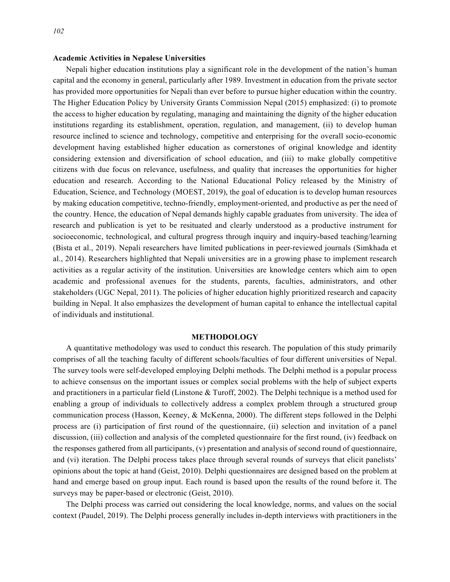# **Academic Activities in Nepalese Universities**

Nepali higher education institutions play a significant role in the development of the nation's human capital and the economy in general, particularly after 1989. Investment in education from the private sector has provided more opportunities for Nepali than ever before to pursue higher education within the country. The Higher Education Policy by University Grants Commission Nepal (2015) emphasized: (i) to promote the access to higher education by regulating, managing and maintaining the dignity of the higher education institutions regarding its establishment, operation, regulation, and management, (ii) to develop human resource inclined to science and technology, competitive and enterprising for the overall socio-economic development having established higher education as cornerstones of original knowledge and identity considering extension and diversification of school education, and (iii) to make globally competitive citizens with due focus on relevance, usefulness, and quality that increases the opportunities for higher education and research. According to the National Educational Policy released by the Ministry of Education, Science, and Technology (MOEST, 2019), the goal of education is to develop human resources by making education competitive, techno-friendly, employment-oriented, and productive as per the need of the country. Hence, the education of Nepal demands highly capable graduates from university. The idea of research and publication is yet to be resituated and clearly understood as a productive instrument for socioeconomic, technological, and cultural progress through inquiry and inquiry-based teaching/learning (Bista et al., 2019). Nepali researchers have limited publications in peer-reviewed journals (Simkhada et al., 2014). Researchers highlighted that Nepali universities are in a growing phase to implement research activities as a regular activity of the institution. Universities are knowledge centers which aim to open academic and professional avenues for the students, parents, faculties, administrators, and other stakeholders (UGC Nepal, 2011). The policies of higher education highly prioritized research and capacity building in Nepal. It also emphasizes the development of human capital to enhance the intellectual capital of individuals and institutional.

# **METHODOLOGY**

A quantitative methodology was used to conduct this research. The population of this study primarily comprises of all the teaching faculty of different schools/faculties of four different universities of Nepal. The survey tools were self-developed employing Delphi methods. The Delphi method is a popular process to achieve consensus on the important issues or complex social problems with the help of subject experts and practitioners in a particular field (Linstone & Turoff, 2002). The Delphi technique is a method used for enabling a group of individuals to collectively address a complex problem through a structured group communication process (Hasson, Keeney, & McKenna, 2000). The different steps followed in the Delphi process are (i) participation of first round of the questionnaire, (ii) selection and invitation of a panel discussion, (iii) collection and analysis of the completed questionnaire for the first round, (iv) feedback on the responses gathered from all participants, (v) presentation and analysis of second round of questionnaire, and (vi) iteration. The Delphi process takes place through several rounds of surveys that elicit panelists' opinions about the topic at hand (Geist, 2010). Delphi questionnaires are designed based on the problem at hand and emerge based on group input. Each round is based upon the results of the round before it. The surveys may be paper-based or electronic (Geist, 2010).

The Delphi process was carried out considering the local knowledge, norms, and values on the social context (Paudel, 2019). The Delphi process generally includes in-depth interviews with practitioners in the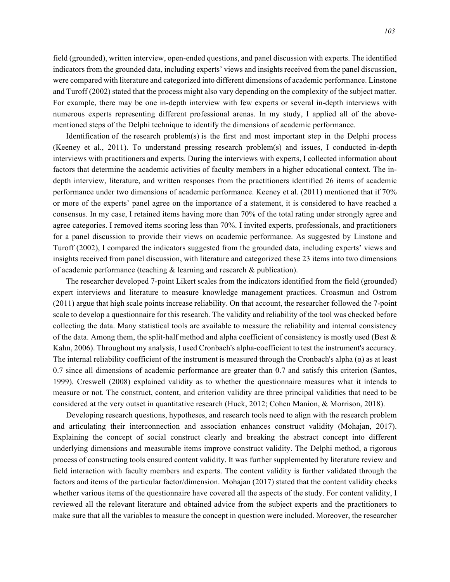field (grounded), written interview, open-ended questions, and panel discussion with experts. The identified indicators from the grounded data, including experts' views and insights received from the panel discussion, were compared with literature and categorized into different dimensions of academic performance. Linstone and Turoff (2002) stated that the process might also vary depending on the complexity of the subject matter. For example, there may be one in-depth interview with few experts or several in-depth interviews with numerous experts representing different professional arenas. In my study, I applied all of the abovementioned steps of the Delphi technique to identify the dimensions of academic performance.

Identification of the research problem(s) is the first and most important step in the Delphi process (Keeney et al., 2011). To understand pressing research problem(s) and issues, I conducted in-depth interviews with practitioners and experts. During the interviews with experts, I collected information about factors that determine the academic activities of faculty members in a higher educational context. The indepth interview, literature, and written responses from the practitioners identified 26 items of academic performance under two dimensions of academic performance. Keeney et al. (2011) mentioned that if 70% or more of the experts' panel agree on the importance of a statement, it is considered to have reached a consensus. In my case, I retained items having more than 70% of the total rating under strongly agree and agree categories. I removed items scoring less than 70%. I invited experts, professionals, and practitioners for a panel discussion to provide their views on academic performance. As suggested by Linstone and Turoff (2002), I compared the indicators suggested from the grounded data, including experts' views and insights received from panel discussion, with literature and categorized these 23 items into two dimensions of academic performance (teaching & learning and research & publication).

The researcher developed 7-point Likert scales from the indicators identified from the field (grounded) expert interviews and literature to measure knowledge management practices. Croasmun and Ostrom (2011) argue that high scale points increase reliability. On that account, the researcher followed the 7-point scale to develop a questionnaire for this research. The validity and reliability of the tool was checked before collecting the data. Many statistical tools are available to measure the reliability and internal consistency of the data. Among them, the split-half method and alpha coefficient of consistency is mostly used (Best  $\&$ Kahn, 2006). Throughout my analysis, I used Cronbach's alpha-coefficient to test the instrument's accuracy. The internal reliability coefficient of the instrument is measured through the Cronbach's alpha  $(\alpha)$  as at least 0.7 since all dimensions of academic performance are greater than 0.7 and satisfy this criterion (Santos, 1999). Creswell (2008) explained validity as to whether the questionnaire measures what it intends to measure or not. The construct, content, and criterion validity are three principal validities that need to be considered at the very outset in quantitative research (Huck, 2012; Cohen Manion, & Morrison, 2018).

Developing research questions, hypotheses, and research tools need to align with the research problem and articulating their interconnection and association enhances construct validity (Mohajan, 2017). Explaining the concept of social construct clearly and breaking the abstract concept into different underlying dimensions and measurable items improve construct validity. The Delphi method, a rigorous process of constructing tools ensured content validity. It was further supplemented by literature review and field interaction with faculty members and experts. The content validity is further validated through the factors and items of the particular factor/dimension. Mohajan (2017) stated that the content validity checks whether various items of the questionnaire have covered all the aspects of the study. For content validity, I reviewed all the relevant literature and obtained advice from the subject experts and the practitioners to make sure that all the variables to measure the concept in question were included. Moreover, the researcher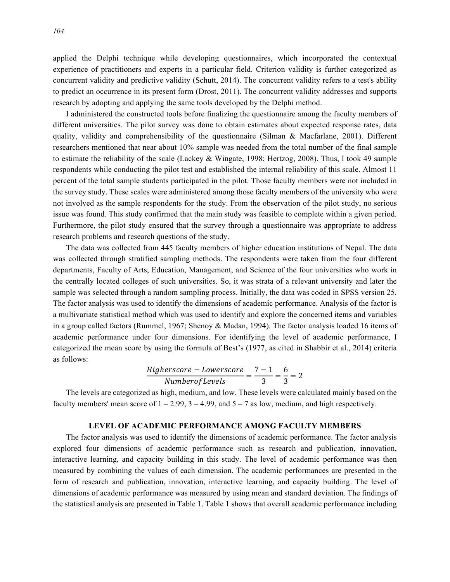applied the Delphi technique while developing questionnaires, which incorporated the contextual experience of practitioners and experts in a particular field. Criterion validity is further categorized as concurrent validity and predictive validity (Schutt, 2014). The concurrent validity refers to a test's ability to predict an occurrence in its present form (Drost, 2011). The concurrent validity addresses and supports research by adopting and applying the same tools developed by the Delphi method.

I administered the constructed tools before finalizing the questionnaire among the faculty members of different universities. The pilot survey was done to obtain estimates about expected response rates, data quality, validity and comprehensibility of the questionnaire (Silman & Macfarlane, 2001). Different researchers mentioned that near about 10% sample was needed from the total number of the final sample to estimate the reliability of the scale (Lackey & Wingate, 1998; Hertzog, 2008). Thus, I took 49 sample respondents while conducting the pilot test and established the internal reliability of this scale. Almost 11 percent of the total sample students participated in the pilot. Those faculty members were not included in the survey study. These scales were administered among those faculty members of the university who were not involved as the sample respondents for the study. From the observation of the pilot study, no serious issue was found. This study confirmed that the main study was feasible to complete within a given period. Furthermore, the pilot study ensured that the survey through a questionnaire was appropriate to address research problems and research questions of the study.

The data was collected from 445 faculty members of higher education institutions of Nepal. The data was collected through stratified sampling methods. The respondents were taken from the four different departments, Faculty of Arts, Education, Management, and Science of the four universities who work in the centrally located colleges of such universities. So, it was strata of a relevant university and later the sample was selected through a random sampling process. Initially, the data was coded in SPSS version 25. The factor analysis was used to identify the dimensions of academic performance. Analysis of the factor is a multivariate statistical method which was used to identify and explore the concerned items and variables in a group called factors (Rummel, 1967; Shenoy & Madan, 1994). The factor analysis loaded 16 items of academic performance under four dimensions. For identifying the level of academic performance, I categorized the mean score by using the formula of Best's (1977, as cited in Shabbir et al., 2014) criteria as follows:

$$
\frac{Higherscore - Lowerscore}{Number of Levels} = \frac{7-1}{3} = \frac{6}{3} = 2
$$

The levels are categorized as high, medium, and low. These levels were calculated mainly based on the faculty members' mean score of  $1 - 2.99$ ,  $3 - 4.99$ , and  $5 - 7$  as low, medium, and high respectively.

# **LEVEL OF ACADEMIC PERFORMANCE AMONG FACULTY MEMBERS**

The factor analysis was used to identify the dimensions of academic performance. The factor analysis explored four dimensions of academic performance such as research and publication, innovation, interactive learning, and capacity building in this study. The level of academic performance was then measured by combining the values of each dimension. The academic performances are presented in the form of research and publication, innovation, interactive learning, and capacity building. The level of dimensions of academic performance was measured by using mean and standard deviation. The findings of the statistical analysis are presented in Table 1. Table 1 shows that overall academic performance including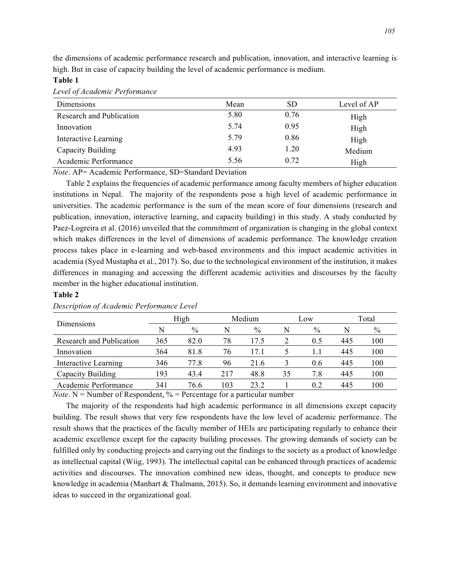the dimensions of academic performance research and publication, innovation, and interactive learning is high. But in case of capacity building the level of academic performance is medium.

# **Table 1**

| Dimensions               | Mean | <b>SD</b> | Level of AP |  |
|--------------------------|------|-----------|-------------|--|
| Research and Publication | 5.80 | 0.76      | High        |  |
| Innovation               | 5.74 | 0.95      | High        |  |
| Interactive Learning     | 5.79 | 0.86      | High        |  |
| Capacity Building        | 4.93 | 1.20      | Medium      |  |
| Academic Performance     | 5.56 | 0.72      | High        |  |

*Level of Academic Performance*

*Note*. AP= Academic Performance, SD=Standard Deviation

Table 2 explains the frequencies of academic performance among faculty members of higher education institutions in Nepal. The majority of the respondents pose a high level of academic performance in universities. The academic performance is the sum of the mean score of four dimensions (research and publication, innovation, interactive learning, and capacity building) in this study. A study conducted by Paez-Logreira et al. (2016) unveiled that the commitment of organization is changing in the global context which makes differences in the level of dimensions of academic performance. The knowledge creation process takes place in e-learning and web-based environments and this impact academic activities in academia (Syed Mustapha et al., 2017). So, due to the technological environment of the institution, it makes differences in managing and accessing the different academic activities and discourses by the faculty member in the higher educational institution.

# **Table 2**

| Dimensions               | High |               | Medium |               | Low |      | Total |      |
|--------------------------|------|---------------|--------|---------------|-----|------|-------|------|
|                          | N    | $\frac{0}{0}$ | N      | $\frac{0}{0}$ |     | $\%$ |       | $\%$ |
| Research and Publication | 365  | 82.0          | 78     | 17.5          |     | 0.5  | 445   | 100  |
| Innovation               | 364  | 81.8          | 76     | 17.1          |     |      | 445   | 100  |
| Interactive Learning     | 346  | 77.8          | 96     | 21.6          |     | 0.6  | 445   | 100  |
| Capacity Building        | 193  | 43.4          | 217    | 48.8          | 35  | 7.8  | 445   | 100  |
| Academic Performance     | 341  | 76.6          | 103    | 23 2          |     | 0.2  | 445   | 100  |

#### *Description of Academic Performance Level*

*Note*. N = Number of Respondent,  $\%$  = Percentage for a particular number

The majority of the respondents had high academic performance in all dimensions except capacity building. The result shows that very few respondents have the low level of academic performance. The result shows that the practices of the faculty member of HEIs are participating regularly to enhance their academic excellence except for the capacity building processes. The growing demands of society can be fulfilled only by conducting projects and carrying out the findings to the society as a product of knowledge as intellectual capital (Wiig, 1993). The intellectual capital can be enhanced through practices of academic activities and discourses. The innovation combined new ideas, thought, and concepts to produce new knowledge in academia (Manhart & Thalmann, 2015). So, it demands learning environment and innovative ideas to succeed in the organizational goal.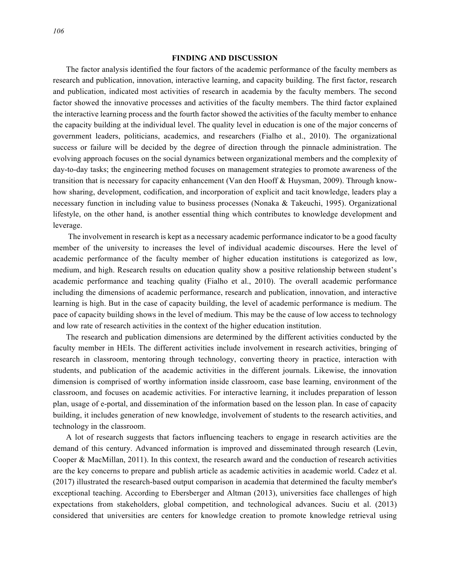#### **FINDING AND DISCUSSION**

The factor analysis identified the four factors of the academic performance of the faculty members as research and publication, innovation, interactive learning, and capacity building. The first factor, research and publication, indicated most activities of research in academia by the faculty members. The second factor showed the innovative processes and activities of the faculty members. The third factor explained the interactive learning process and the fourth factor showed the activities of the faculty member to enhance the capacity building at the individual level. The quality level in education is one of the major concerns of government leaders, politicians, academics, and researchers (Fialho et al., 2010). The organizational success or failure will be decided by the degree of direction through the pinnacle administration. The evolving approach focuses on the social dynamics between organizational members and the complexity of day-to-day tasks; the engineering method focuses on management strategies to promote awareness of the transition that is necessary for capacity enhancement (Van den Hooff & Huysman, 2009). Through knowhow sharing, development, codification, and incorporation of explicit and tacit knowledge, leaders play a necessary function in including value to business processes (Nonaka & Takeuchi, 1995). Organizational lifestyle, on the other hand, is another essential thing which contributes to knowledge development and leverage.

The involvement in research is kept as a necessary academic performance indicator to be a good faculty member of the university to increases the level of individual academic discourses. Here the level of academic performance of the faculty member of higher education institutions is categorized as low, medium, and high. Research results on education quality show a positive relationship between student's academic performance and teaching quality (Fialho et al., 2010). The overall academic performance including the dimensions of academic performance, research and publication, innovation, and interactive learning is high. But in the case of capacity building, the level of academic performance is medium. The pace of capacity building shows in the level of medium. This may be the cause of low access to technology and low rate of research activities in the context of the higher education institution.

The research and publication dimensions are determined by the different activities conducted by the faculty member in HEIs. The different activities include involvement in research activities, bringing of research in classroom, mentoring through technology, converting theory in practice, interaction with students, and publication of the academic activities in the different journals. Likewise, the innovation dimension is comprised of worthy information inside classroom, case base learning, environment of the classroom, and focuses on academic activities. For interactive learning, it includes preparation of lesson plan, usage of e-portal, and dissemination of the information based on the lesson plan. In case of capacity building, it includes generation of new knowledge, involvement of students to the research activities, and technology in the classroom.

A lot of research suggests that factors influencing teachers to engage in research activities are the demand of this century. Advanced information is improved and disseminated through research (Levin, Cooper & MacMillan, 2011). In this context, the research award and the conduction of research activities are the key concerns to prepare and publish article as academic activities in academic world. Cadez et al. (2017) illustrated the research-based output comparison in academia that determined the faculty member's exceptional teaching. According to Ebersberger and Altman (2013), universities face challenges of high expectations from stakeholders, global competition, and technological advances. Suciu et al. (2013) considered that universities are centers for knowledge creation to promote knowledge retrieval using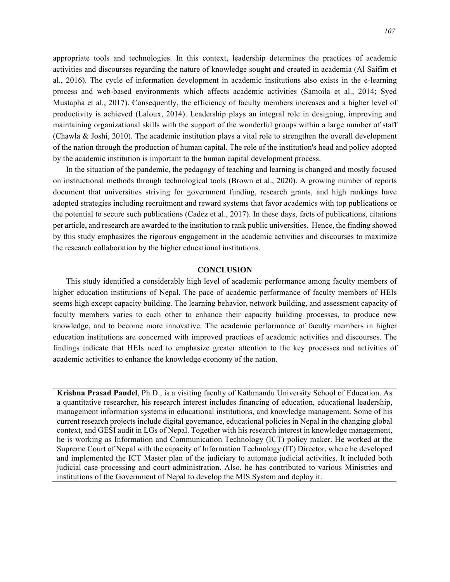appropriate tools and technologies. In this context, leadership determines the practices of academic activities and discourses regarding the nature of knowledge sought and created in academia (Al Saifim et al., 2016). The cycle of information development in academic institutions also exists in the e-learning process and web-based environments which affects academic activities (Samoila et al., 2014; Syed Mustapha et al., 2017). Consequently, the efficiency of faculty members increases and a higher level of productivity is achieved (Laloux, 2014). Leadership plays an integral role in designing, improving and maintaining organizational skills with the support of the wonderful groups within a large number of staff (Chawla & Joshi, 2010). The academic institution plays a vital role to strengthen the overall development of the nation through the production of human capital. The role of the institution's head and policy adopted by the academic institution is important to the human capital development process.

In the situation of the pandemic, the pedagogy of teaching and learning is changed and mostly focused on instructional methods through technological tools (Brown et al., 2020). A growing number of reports document that universities striving for government funding, research grants, and high rankings have adopted strategies including recruitment and reward systems that favor academics with top publications or the potential to secure such publications (Cadez et al., 2017). In these days, facts of publications, citations per article, and research are awarded to the institution to rank public universities. Hence, the finding showed by this study emphasizes the rigorous engagement in the academic activities and discourses to maximize the research collaboration by the higher educational institutions.

#### **CONCLUSION**

This study identified a considerably high level of academic performance among faculty members of higher education institutions of Nepal. The pace of academic performance of faculty members of HEIs seems high except capacity building. The learning behavior, network building, and assessment capacity of faculty members varies to each other to enhance their capacity building processes, to produce new knowledge, and to become more innovative. The academic performance of faculty members in higher education institutions are concerned with improved practices of academic activities and discourses. The findings indicate that HEIs need to emphasize greater attention to the key processes and activities of academic activities to enhance the knowledge economy of the nation.

**Krishna Prasad Paudel**, Ph.D., is a visiting faculty of Kathmandu University School of Education. As a quantitative researcher, his research interest includes financing of education, educational leadership, management information systems in educational institutions, and knowledge management. Some of his current research projects include digital governance, educational policies in Nepal in the changing global context, and GESI audit in LGs of Nepal. Together with his research interest in knowledge management, he is working as Information and Communication Technology (ICT) policy maker. He worked at the Supreme Court of Nepal with the capacity of Information Technology (IT) Director, where he developed and implemented the ICT Master plan of the judiciary to automate judicial activities. It included both judicial case processing and court administration. Also, he has contributed to various Ministries and institutions of the Government of Nepal to develop the MIS System and deploy it.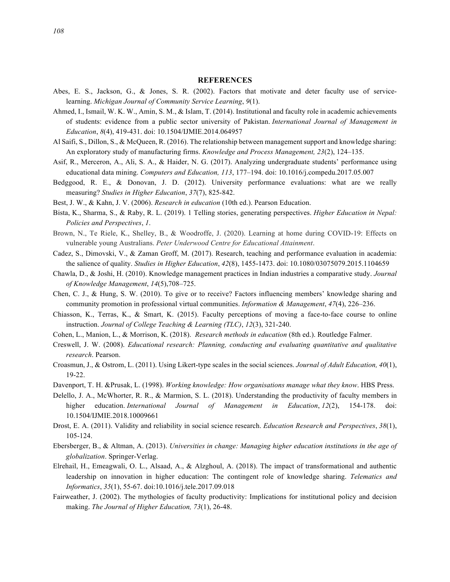# **REFERENCES**

- Abes, E. S., Jackson, G., & Jones, S. R. (2002). Factors that motivate and deter faculty use of servicelearning. *Michigan Journal of Community Service Learning*, *9*(1).
- Ahmed, I., Ismail, W. K. W., Amin, S. M., & Islam, T. (2014). Institutional and faculty role in academic achievements of students: evidence from a public sector university of Pakistan. *International Journal of Management in Education*, *8*(4), 419-431. doi: 10.1504/IJMIE.2014.064957
- Al Saifi, S., Dillon, S., & McQueen, R. (2016). The relationship between management support and knowledge sharing: An exploratory study of manufacturing firms. *Knowledge and Process Management, 23*(2), 124–135.
- Asif, R., Merceron, A., Ali, S. A., & Haider, N. G. (2017). Analyzing undergraduate students' performance using educational data mining. *Computers and Education, 113*, 177–194. doi: 10.1016/j.compedu.2017.05.007
- Bedggood, R. E., & Donovan, J. D. (2012). University performance evaluations: what are we really measuring? *Studies in Higher Education*, *37*(7), 825-842.
- Best, J. W., & Kahn, J. V. (2006). *Research in education* (10th ed.). Pearson Education.
- Bista, K., Sharma, S., & Raby, R. L. (2019). 1 Telling stories, generating perspectives. *Higher Education in Nepal: Policies and Perspectives*, *1*.
- Brown, N., Te Riele, K., Shelley, B., & Woodroffe, J. (2020). Learning at home during COVID-19: Effects on vulnerable young Australians. *Peter Underwood Centre for Educational Attainment*.
- Cadez, S., Dimovski, V., & Zaman Groff, M. (2017). Research, teaching and performance evaluation in academia: the salience of quality. *Studies in Higher Education*, *42*(8), 1455-1473. doi: 10.1080/03075079.2015.1104659
- Chawla, D., & Joshi, H. (2010). Knowledge management practices in Indian industries a comparative study. *Journal of Knowledge Management*, *14*(5),708–725.
- Chen, C. J., & Hung, S. W. (2010). To give or to receive? Factors influencing members' knowledge sharing and community promotion in professional virtual communities. *Information & Management*, *47*(4), 226–236.
- Chiasson, K., Terras, K., & Smart, K. (2015). Faculty perceptions of moving a face-to-face course to online instruction. *Journal of College Teaching & Learning (TLC)*, *12*(3), 321-240.
- Cohen, L., Manion, L., & Morrison, K. (2018). *Research methods in education* (8th ed.). Routledge Falmer.
- Creswell, J. W. (2008). *Educational research: Planning, conducting and evaluating quantitative and qualitative research*. Pearson.
- Croasmun, J., & Ostrom, L. (2011). Using Likert-type scales in the social sciences. *Journal of Adult Education, 40*(1), 19-22.
- Davenport, T. H. &Prusak, L. (1998). *Working knowledge: How organisations manage what they know*. HBS Press.
- Delello, J. A., McWhorter, R. R., & Marmion, S. L. (2018). Understanding the productivity of faculty members in higher education. *International Journal of Management in Education*, *12*(2), 154-178. doi: 10.1504/IJMIE.2018.10009661
- Drost, E. A. (2011). Validity and reliability in social science research. *Education Research and Perspectives*, *38*(1), 105-124.
- Ebersberger, B., & Altman, A. (2013). *Universities in change: Managing higher education institutions in the age of globalization*. Springer-Verlag.
- Elrehail, H., Emeagwali, O. L., Alsaad, A., & Alzghoul, A. (2018). The impact of transformational and authentic leadership on innovation in higher education: The contingent role of knowledge sharing. *Telematics and Informatics*, *35*(1), 55-67. doi:10.1016/j.tele.2017.09.018
- Fairweather, J. (2002). The mythologies of faculty productivity: Implications for institutional policy and decision making. *The Journal of Higher Education, 73*(1), 26-48.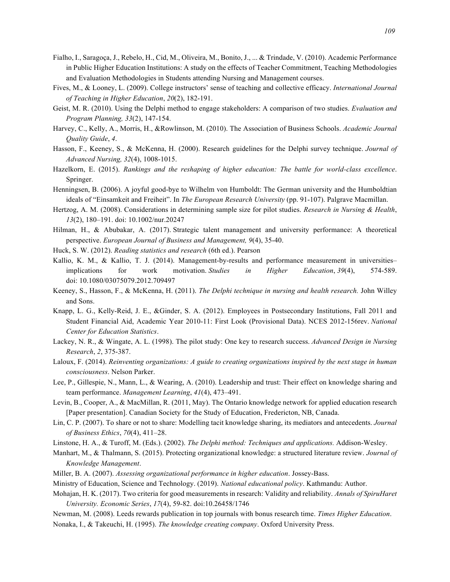- Fialho, I., Saragoça, J., Rebelo, H., Cid, M., Oliveira, M., Bonito, J., ... & Trindade, V. (2010). Academic Performance in Public Higher Education Institutions: A study on the effects of Teacher Commitment, Teaching Methodologies and Evaluation Methodologies in Students attending Nursing and Management courses.
- Fives, M., & Looney, L. (2009). College instructors' sense of teaching and collective efficacy. *International Journal of Teaching in Higher Education*, *20*(2), 182-191.
- Geist, M. R. (2010). Using the Delphi method to engage stakeholders: A comparison of two studies. *Evaluation and Program Planning, 33*(2), 147-154.
- Harvey, C., Kelly, A., Morris, H., &Rowlinson, M. (2010). The Association of Business Schools. *Academic Journal Quality Guide*, *4*.
- Hasson, F., Keeney, S., & McKenna, H. (2000). Research guidelines for the Delphi survey technique. *Journal of Advanced Nursing, 32*(4), 1008-1015.
- Hazelkorn, E. (2015). *Rankings and the reshaping of higher education: The battle for world-class excellence*. Springer.
- Henningsen, B. (2006). A joyful good-bye to Wilhelm von Humboldt: The German university and the Humboldtian ideals of "Einsamkeit and Freiheit". In *The European Research University* (pp. 91-107). Palgrave Macmillan.
- Hertzog, A. M. (2008). Considerations in determining sample size for pilot studies. *Research in Nursing & Health*, *13*(2), 180–191. doi: 10.1002/nur.20247
- Hilman, H., & Abubakar, A. (2017). Strategic talent management and university performance: A theoretical perspective. *European Journal of Business and Management, 9*(4), 35-40.
- Huck, S. W. (2012). *Reading statistics and research* (6th ed.). Pearson
- Kallio, K. M., & Kallio, T. J. (2014). Management-by-results and performance measurement in universities– implications for work motivation. *Studies in Higher Education*, *39*(4), 574-589. doi: 10.1080/03075079.2012.709497
- Keeney, S., Hasson, F., & McKenna, H. (2011). *The Delphi technique in nursing and health research.* John Willey and Sons.
- Knapp, L. G., Kelly-Reid, J. E., &Ginder, S. A. (2012). Employees in Postsecondary Institutions, Fall 2011 and Student Financial Aid, Academic Year 2010-11: First Look (Provisional Data). NCES 2012-156rev. *National Center for Education Statistics*.
- Lackey, N. R., & Wingate, A. L. (1998). The pilot study: One key to research success. *Advanced Design in Nursing Research*, *2*, 375-387.
- Laloux, F. (2014). *Reinventing organizations: A guide to creating organizations inspired by the next stage in human consciousness*. Nelson Parker.
- Lee, P., Gillespie, N., Mann, L., & Wearing, A. (2010). Leadership and trust: Their effect on knowledge sharing and team performance. *Management Learning*, *41*(4), 473–491.
- Levin, B., Cooper, A., & MacMillan, R. (2011, May). The Ontario knowledge network for applied education research [Paper presentation]. Canadian Society for the Study of Education, Fredericton, NB, Canada.
- Lin, C. P. (2007). To share or not to share: Modelling tacit knowledge sharing, its mediators and antecedents. *Journal of Business Ethics*, *70*(4), 411–28.
- Linstone, H. A., & Turoff, M. (Eds.). (2002). *The Delphi method: Techniques and applications.* Addison-Wesley.
- Manhart, M., & Thalmann, S. (2015). Protecting organizational knowledge: a structured literature review. *Journal of Knowledge Management*.
- Miller, B. A. (2007). *Assessing organizational performance in higher education*. Jossey-Bass.
- Ministry of Education, Science and Technology. (2019). *National educational policy*. Kathmandu: Author.
- Mohajan, H. K. (2017). Two criteria for good measurements in research: Validity and reliability. *Annals of SpiruHaret University. Economic Series*, *17*(4), 59-82. doi:10.26458/1746
- Newman, M. (2008). Leeds rewards publication in top journals with bonus research time. *Times Higher Education*. Nonaka, I., & Takeuchi, H. (1995). *The knowledge creating company*. Oxford University Press.